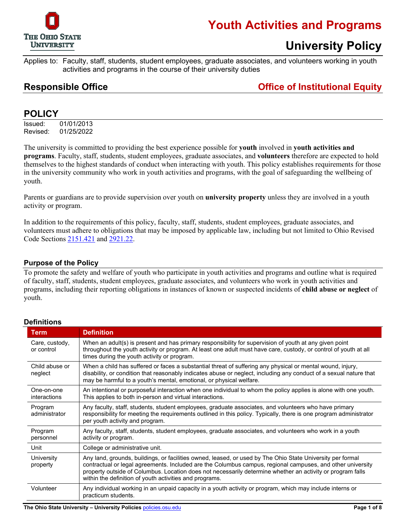

### **Youth Activities and Programs**

### **University Policy**

Applies to: Faculty, staff, students, student employees, graduate associates, and volunteers working in youth activities and programs in the course of their university duties

### **Responsible Office Office of Institutional Equity**

### **POLICY**

Issued: 01/01/2013 Revised: 01/25/2022

The university is committed to providing the best experience possible for **youth** involved in **youth activities and programs**. Faculty, staff, students, student employees, graduate associates, and **volunteers** therefore are expected to hold themselves to the highest standards of conduct when interacting with youth. This policy establishes requirements for those in the university community who work in youth activities and programs, with the goal of safeguarding the wellbeing of youth.

Parents or guardians are to provide supervision over youth on **university property** unless they are involved in a youth activity or program.

In addition to the requirements of this policy, faculty, staff, students, student employees, graduate associates, and volunteers must adhere to obligations that may be imposed by applicable law, including but not limited to Ohio Revised Code Sections [2151.421](http://codes.ohio.gov/orc/2151.421) and [2921.22.](http://codes.ohio.gov/orc/2921.22)

#### **Purpose of the Policy**

To promote the safety and welfare of youth who participate in youth activities and programs and outline what is required of faculty, staff, students, student employees, graduate associates, and volunteers who work in youth activities and programs, including their reporting obligations in instances of known or suspected incidents of **child abuse or neglect** of youth.

| Term                              | <b>Definition</b>                                                                                                                                                                                                                                                                                                                                                                                 |  |  |  |
|-----------------------------------|---------------------------------------------------------------------------------------------------------------------------------------------------------------------------------------------------------------------------------------------------------------------------------------------------------------------------------------------------------------------------------------------------|--|--|--|
| Care, custody,<br>or control      | When an adult(s) is present and has primary responsibility for supervision of youth at any given point<br>throughout the youth activity or program. At least one adult must have care, custody, or control of youth at all<br>times during the youth activity or program.                                                                                                                         |  |  |  |
| Child abuse or<br>neglect         | When a child has suffered or faces a substantial threat of suffering any physical or mental wound, injury,<br>disability, or condition that reasonably indicates abuse or neglect, including any conduct of a sexual nature that<br>may be harmful to a youth's mental, emotional, or physical welfare.                                                                                           |  |  |  |
| One-on-one<br><i>interactions</i> | An intentional or purposeful interaction when one individual to whom the policy applies is alone with one youth.<br>This applies to both in-person and virtual interactions.                                                                                                                                                                                                                      |  |  |  |
| Program<br>administrator          | Any faculty, staff, students, student employees, graduate associates, and volunteers who have primary<br>responsibility for meeting the requirements outlined in this policy. Typically, there is one program administrator<br>per youth activity and program.                                                                                                                                    |  |  |  |
| Program<br>personnel              | Any faculty, staff, students, student employees, graduate associates, and volunteers who work in a youth<br>activity or program.                                                                                                                                                                                                                                                                  |  |  |  |
| Unit                              | College or administrative unit.                                                                                                                                                                                                                                                                                                                                                                   |  |  |  |
| University<br>property            | Any land, grounds, buildings, or facilities owned, leased, or used by The Ohio State University per formal<br>contractual or legal agreements. Included are the Columbus campus, regional campuses, and other university<br>property outside of Columbus. Location does not necessarily determine whether an activity or program falls<br>within the definition of youth activities and programs. |  |  |  |
| Volunteer                         | Any individual working in an unpaid capacity in a youth activity or program, which may include interns or<br>practicum students.                                                                                                                                                                                                                                                                  |  |  |  |

#### **Definitions**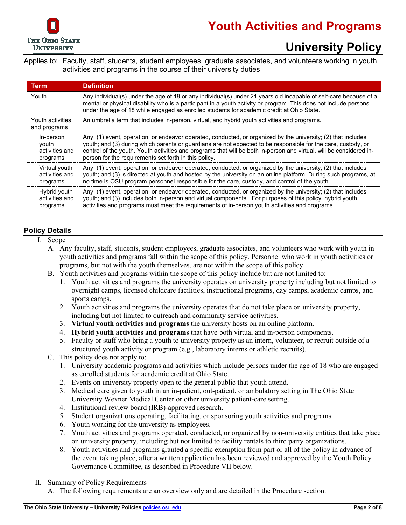

Applies to: Faculty, staff, students, student employees, graduate associates, and volunteers working in youth activities and programs in the course of their university duties

| <b>Term</b>                      | <b>Definition</b>                                                                                                                                                                                                                                                                                                                  |  |  |
|----------------------------------|------------------------------------------------------------------------------------------------------------------------------------------------------------------------------------------------------------------------------------------------------------------------------------------------------------------------------------|--|--|
| Youth                            | Any individual(s) under the age of 18 or any individual(s) under 21 years old incapable of self-care because of a<br>mental or physical disability who is a participant in a youth activity or program. This does not include persons<br>under the age of 18 while engaged as enrolled students for academic credit at Ohio State. |  |  |
| Youth activities<br>and programs | An umbrella term that includes in-person, virtual, and hybrid youth activities and programs.                                                                                                                                                                                                                                       |  |  |
| In-person                        | Any: (1) event, operation, or endeavor operated, conducted, or organized by the university; (2) that includes                                                                                                                                                                                                                      |  |  |
| youth                            | youth; and (3) during which parents or guardians are not expected to be responsible for the care, custody, or                                                                                                                                                                                                                      |  |  |
| activities and                   | control of the youth. Youth activities and programs that will be both in-person and virtual, will be considered in-                                                                                                                                                                                                                |  |  |
| programs                         | person for the requirements set forth in this policy.                                                                                                                                                                                                                                                                              |  |  |
| Virtual youth                    | Any: (1) event, operation, or endeavor operated, conducted, or organized by the university; (2) that includes                                                                                                                                                                                                                      |  |  |
| activities and                   | youth; and (3) is directed at youth and hosted by the university on an online platform. During such programs, at                                                                                                                                                                                                                   |  |  |
| programs                         | no time is OSU program personnel responsible for the care, custody, and control of the youth.                                                                                                                                                                                                                                      |  |  |
| Hybrid youth                     | Any: (1) event, operation, or endeavor operated, conducted, or organized by the university; (2) that includes                                                                                                                                                                                                                      |  |  |
| activities and                   | youth; and (3) includes both in-person and virtual components. For purposes of this policy, hybrid youth                                                                                                                                                                                                                           |  |  |
| programs                         | activities and programs must meet the requirements of in-person youth activities and programs.                                                                                                                                                                                                                                     |  |  |

#### **Policy Details**

- I. Scope
	- A. Any faculty, staff, students, student employees, graduate associates, and volunteers who work with youth in youth activities and programs fall within the scope of this policy. Personnel who work in youth activities or programs, but not with the youth themselves, are not within the scope of this policy.
	- B. Youth activities and programs within the scope of this policy include but are not limited to:
		- 1. Youth activities and programs the university operates on university property including but not limited to overnight camps, licensed childcare facilities, instructional programs, day camps, academic camps, and sports camps.
		- 2. Youth activities and programs the university operates that do not take place on university property, including but not limited to outreach and community service activities.
		- 3. **Virtual youth activities and programs** the university hosts on an online platform.
		- 4. **Hybrid youth activities and programs** that have both virtual and in-person components.
		- 5. Faculty or staff who bring a youth to university property as an intern, volunteer, or recruit outside of a structured youth activity or program (e.g., laboratory interns or athletic recruits).
	- C. This policy does not apply to:
		- 1. University academic programs and activities which include persons under the age of 18 who are engaged as enrolled students for academic credit at Ohio State.
		- 2. Events on university property open to the general public that youth attend.
		- 3. Medical care given to youth in an in-patient, out-patient, or ambulatory setting in The Ohio State University Wexner Medical Center or other university patient-care setting.
		- 4. Institutional review board (IRB)-approved research.
		- 5. Student organizations operating, facilitating, or sponsoring youth activities and programs.
		- 6. Youth working for the university as employees.
		- 7. Youth activities and programs operated, conducted, or organized by non-university entities that take place on university property, including but not limited to facility rentals to third party organizations.
		- 8. Youth activities and programs granted a specific exemption from part or all of the policy in advance of the event taking place, after a written application has been reviewed and approved by the Youth Policy Governance Committee, as described in Procedure VII below.
- II. Summary of Policy Requirements
	- A. The following requirements are an overview only and are detailed in the Procedure section.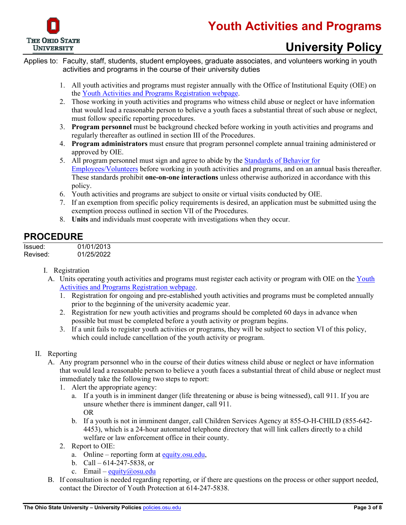

Applies to: Faculty, staff, students, student employees, graduate associates, and volunteers working in youth activities and programs in the course of their university duties

- 1. All youth activities and programs must register annually with the Office of Institutional Equity (OIE) on the [Youth Activities and Programs Registration webpage.](https://apps.hr.osu.edu/minors/)
- 2. Those working in youth activities and programs who witness child abuse or neglect or have information that would lead a reasonable person to believe a youth faces a substantial threat of such abuse or neglect, must follow specific reporting procedures.
- 3. **Program personnel** must be background checked before working in youth activities and programs and regularly thereafter as outlined in section III of the Procedures.
- 4. **Program administrators** must ensure that program personnel complete annual training administered or approved by OIE.
- 5. All program personnel must sign and agree to abide by the [Standards of Behavior for](http://hr.osu.edu/policy/resources/150standards-emplvol.pdf)  [Employees/Volunteers](http://hr.osu.edu/policy/resources/150standards-emplvol.pdf) before working in youth activities and programs, and on an annual basis thereafter. These standards prohibit **one-on-one interactions** unless otherwise authorized in accordance with this policy.
- 6. Youth activities and programs are subject to onsite or virtual visits conducted by OIE.
- 7. If an exemption from specific policy requirements is desired, an application must be submitted using the exemption process outlined in section VII of the Procedures.
- 8. **Units** and individuals must cooperate with investigations when they occur.

### **PROCEDURE**

Issued: 01/01/2013 Revised: 01/25/2022

#### I. Registration

- A. Units operating youth activities and programs must register each activity or program with OIE on the [Youth](https://apps.hr.osu.edu/minors/)  [Activities and Programs Registration webpage.](https://apps.hr.osu.edu/minors/)
	- 1. Registration for ongoing and pre-established youth activities and programs must be completed annually prior to the beginning of the university academic year.
	- 2. Registration for new youth activities and programs should be completed 60 days in advance when possible but must be completed before a youth activity or program begins.
	- 3. If a unit fails to register youth activities or programs, they will be subject to section VI of this policy, which could include cancellation of the youth activity or program.

#### II. Reporting

- A. Any program personnel who in the course of their duties witness child abuse or neglect or have information that would lead a reasonable person to believe a youth faces a substantial threat of child abuse or neglect must immediately take the following two steps to report:
	- 1. Alert the appropriate agency:
		- a. If a youth is in imminent danger (life threatening or abuse is being witnessed), call 911. If you are unsure whether there is imminent danger, call 911. OR
		- b. If a youth is not in imminent danger, call Children Services Agency at 855-O-H-CHILD (855-642- 4453), which is a 24-hour automated telephone directory that will link callers directly to a child welfare or law enforcement office in their county.
	- 2. Report to OIE:
		- a. Online reporting form at [equity.osu.edu,](https://equity.osu.edu/)
		- b. Call  $614-247-5838$ , or
		- c. Email equity@osu.edu
- B. If consultation is needed regarding reporting, or if there are questions on the process or other support needed, contact the Director of Youth Protection at 614-247-5838.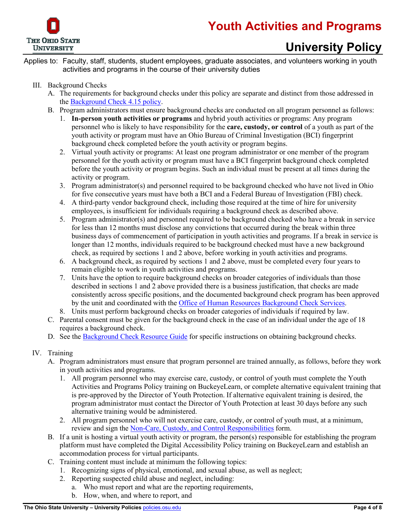

Applies to: Faculty, staff, students, student employees, graduate associates, and volunteers working in youth activities and programs in the course of their university duties

#### III. Background Checks

- A. The requirements for background checks under this policy are separate and distinct from those addressed in the [Background Check 4.15 policy.](https://hr.osu.edu/wp-content/uploads/policy415.pdf)
- B. Program administrators must ensure background checks are conducted on all program personnel as follows:
	- 1. **In-person youth activities or programs** and hybrid youth activities or programs: Any program personnel who is likely to have responsibility for the **care, custody, or control** of a youth as part of the youth activity or program must have an Ohio Bureau of Criminal Investigation (BCI) fingerprint background check completed before the youth activity or program begins.
	- 2. Virtual youth activity or programs: At least one program administrator or one member of the program personnel for the youth activity or program must have a BCI fingerprint background check completed before the youth activity or program begins. Such an individual must be present at all times during the activity or program.
	- 3. Program administrator(s) and personnel required to be background checked who have not lived in Ohio for five consecutive years must have both a BCI and a Federal Bureau of Investigation (FBI) check.
	- 4. A third-party vendor background check, including those required at the time of hire for university employees, is insufficient for individuals requiring a background check as described above.
	- 5. Program administrator(s) and personnel required to be background checked who have a break in service for less than 12 months must disclose any convictions that occurred during the break within three business days of commencement of participation in youth activities and programs. If a break in service is longer than 12 months, individuals required to be background checked must have a new background check, as required by sections 1 and 2 above, before working in youth activities and programs.
	- 6. A background check, as required by sections 1 and 2 above, must be completed every four years to remain eligible to work in youth activities and programs.
	- 7. Units have the option to require background checks on broader categories of individuals than those described in sections 1 and 2 above provided there is a business justification, that checks are made consistently across specific positions, and the documented background check program has been approved by the unit and coordinated with the [Office of Human Resources Background Check Services.](https://hr.osu.edu/services/background-checks/)
	- 8. Units must perform background checks on broader categories of individuals if required by law.
- C. Parental consent must be given for the background check in the case of an individual under the age of 18 requires a background check.
- D. See the [Background Check Resource Guide](http://hr.osu.edu/public/documents/policy/resources/150bgcguide.pdf) for specific instructions on obtaining background checks.

#### IV. Training

- A. Program administrators must ensure that program personnel are trained annually, as follows, before they work in youth activities and programs.
	- 1. All program personnel who may exercise care, custody, or control of youth must complete the Youth Activities and Programs Policy training on BuckeyeLearn, or complete alternative equivalent training that is pre-approved by the Director of Youth Protection. If alternative equivalent training is desired, the program administrator must contact the Director of Youth Protection at least 30 days before any such alternative training would be administered.
	- 2. All program personnel who will not exercise care, custody, or control of youth must, at a minimum, review and sign the [Non-Care, Custody, and Control Responsibilities](https://hr.osu.edu/wp-content/uploads/policy150-noncare-training.pdf) form.
- B. If a unit is hosting a virtual youth activity or program, the person(s) responsible for establishing the program platform must have completed the Digital Accessibility Policy training on BuckeyeLearn and establish an accommodation process for virtual participants.
- C. Training content must include at minimum the following topics:
	- 1. Recognizing signs of physical, emotional, and sexual abuse, as well as neglect;
	- 2. Reporting suspected child abuse and neglect, including:
		- a. Who must report and what are the reporting requirements,
		- b. How, when, and where to report, and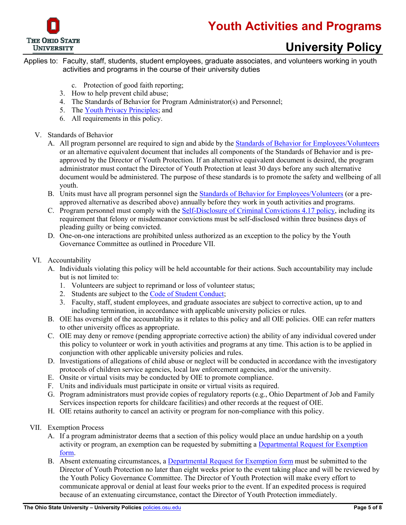

Applies to: Faculty, staff, students, student employees, graduate associates, and volunteers working in youth activities and programs in the course of their university duties

- c. Protection of good faith reporting;
- 3. How to help prevent child abuse;
- 4. The Standards of Behavior for Program Administrator(s) and Personnel;
- 5. The [Youth Privacy Principles;](https://it.osu.edu/privacy/youth-privacy-principles) and
- 6. All requirements in this policy.
- V. Standards of Behavior
	- A. All program personnel are required to sign and abide by the [Standards of Behavior for Employees/Volunteers](http://hr.osu.edu/policy/resources/150standards-emplvol.pdf) or an alternative equivalent document that includes all components of the Standards of Behavior and is preapproved by the Director of Youth Protection. If an alternative equivalent document is desired, the program administrator must contact the Director of Youth Protection at least 30 days before any such alternative document would be administered. The purpose of these standards is to promote the safety and wellbeing of all youth.
	- B. Units must have all program personnel sign the [Standards of Behavior for Employees/Volunteers](http://hr.osu.edu/policy/resources/150standards-emplvol.pdf) (or a preapproved alternative as described above) annually before they work in youth activities and programs.
	- C. Program personnel must comply with the [Self-Disclosure of Criminal Convictions 4.17 policy,](https://hr.osu.edu/wp-content/uploads/policy417.pdf) including its requirement that felony or misdemeanor convictions must be self-disclosed within three business days of pleading guilty or being convicted.
	- D. One-on-one interactions are prohibited unless authorized as an exception to the policy by the Youth Governance Committee as outlined in Procedure VII.
- VI. Accountability
	- A. Individuals violating this policy will be held accountable for their actions. Such accountability may include but is not limited to:
		- 1. Volunteers are subject to reprimand or loss of volunteer status;
		- 2. Students are subject to the [Code of Student Conduct;](http://studentlife.osu.edu/csc/)
		- 3. Faculty, staff, student employees, and graduate associates are subject to corrective action, up to and including termination, in accordance with applicable university policies or rules.
	- B. OIE has oversight of the accountability as it relates to this policy and all OIE policies. OIE can refer matters to other university offices as appropriate.
	- C. OIE may deny or remove (pending appropriate corrective action) the ability of any individual covered under this policy to volunteer or work in youth activities and programs at any time. This action is to be applied in conjunction with other applicable university policies and rules.
	- D. Investigations of allegations of child abuse or neglect will be conducted in accordance with the investigatory protocols of children service agencies, local law enforcement agencies, and/or the university.
	- E. Onsite or virtual visits may be conducted by OIE to promote compliance.
	- F. Units and individuals must participate in onsite or virtual visits as required.
	- G. Program administrators must provide copies of regulatory reports (e.g., Ohio Department of Job and Family Services inspection reports for childcare facilities) and other records at the request of OIE.
	- H. OIE retains authority to cancel an activity or program for non-compliance with this policy.
- VII. Exemption Process
	- A. If a program administrator deems that a section of this policy would place an undue hardship on a youth activity or program, an exemption can be requested by submitting a Departmental Request for Exemption [form.](http://hr.osu.edu/public/documents/policy/resources/150exemption.pdf)
	- B. Absent extenuating circumstances, a [Departmental Request for Exemption form](http://hr.osu.edu/public/documents/policy/resources/150exemption.pdf) must be submitted to the Director of Youth Protection no later than eight weeks prior to the event taking place and will be reviewed by the Youth Policy Governance Committee. The Director of Youth Protection will make every effort to communicate approval or denial at least four weeks prior to the event. If an expedited process is required because of an extenuating circumstance, contact the Director of Youth Protection immediately.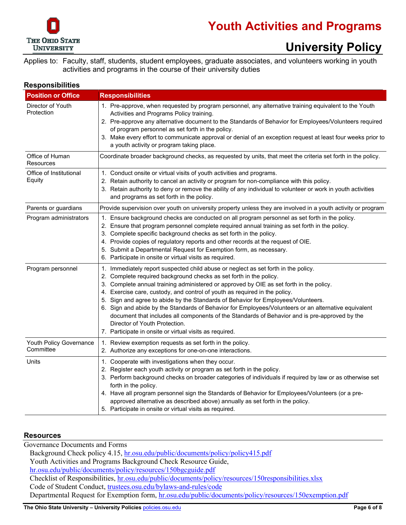

Applies to: Faculty, staff, students, student employees, graduate associates, and volunteers working in youth activities and programs in the course of their university duties

#### **Responsibilities**

| <b>Position or Office</b>            | <b>Responsibilities</b>                                                                                                                                                                                                                                                                                                                                                                                                                                                                                                                                                                                                                                                                                                     |  |  |
|--------------------------------------|-----------------------------------------------------------------------------------------------------------------------------------------------------------------------------------------------------------------------------------------------------------------------------------------------------------------------------------------------------------------------------------------------------------------------------------------------------------------------------------------------------------------------------------------------------------------------------------------------------------------------------------------------------------------------------------------------------------------------------|--|--|
| Director of Youth<br>Protection      | 1. Pre-approve, when requested by program personnel, any alternative training equivalent to the Youth<br>Activities and Programs Policy training.<br>2. Pre-approve any alternative document to the Standards of Behavior for Employees/Volunteers required<br>of program personnel as set forth in the policy.<br>3. Make every effort to communicate approval or denial of an exception request at least four weeks prior to<br>a youth activity or program taking place.                                                                                                                                                                                                                                                 |  |  |
| Office of Human<br><b>Resources</b>  | Coordinate broader background checks, as requested by units, that meet the criteria set forth in the policy.                                                                                                                                                                                                                                                                                                                                                                                                                                                                                                                                                                                                                |  |  |
| Office of Institutional<br>Equity    | 1. Conduct onsite or virtual visits of youth activities and programs.<br>2. Retain authority to cancel an activity or program for non-compliance with this policy.<br>3. Retain authority to deny or remove the ability of any individual to volunteer or work in youth activities<br>and programs as set forth in the policy.                                                                                                                                                                                                                                                                                                                                                                                              |  |  |
| Parents or guardians                 | Provide supervision over youth on university property unless they are involved in a youth activity or program                                                                                                                                                                                                                                                                                                                                                                                                                                                                                                                                                                                                               |  |  |
| Program administrators               | 1. Ensure background checks are conducted on all program personnel as set forth in the policy.<br>2. Ensure that program personnel complete required annual training as set forth in the policy.<br>3. Complete specific background checks as set forth in the policy.<br>4. Provide copies of regulatory reports and other records at the request of OIE.<br>5. Submit a Departmental Request for Exemption form, as necessary.<br>6. Participate in onsite or virtual visits as required.                                                                                                                                                                                                                                 |  |  |
| Program personnel                    | 1. Immediately report suspected child abuse or neglect as set forth in the policy.<br>2. Complete required background checks as set forth in the policy.<br>3. Complete annual training administered or approved by OIE as set forth in the policy.<br>4. Exercise care, custody, and control of youth as required in the policy.<br>5. Sign and agree to abide by the Standards of Behavior for Employees/Volunteers.<br>6. Sign and abide by the Standards of Behavior for Employees/Volunteers or an alternative equivalent<br>document that includes all components of the Standards of Behavior and is pre-approved by the<br>Director of Youth Protection.<br>7. Participate in onsite or virtual visits as required. |  |  |
| Youth Policy Governance<br>Committee | 1. Review exemption requests as set forth in the policy.<br>2. Authorize any exceptions for one-on-one interactions.                                                                                                                                                                                                                                                                                                                                                                                                                                                                                                                                                                                                        |  |  |
| Units                                | 1. Cooperate with investigations when they occur.<br>2. Register each youth activity or program as set forth in the policy.<br>3. Perform background checks on broader categories of individuals if required by law or as otherwise set<br>forth in the policy.<br>4. Have all program personnel sign the Standards of Behavior for Employees/Volunteers (or a pre-<br>approved alternative as described above) annually as set forth in the policy.<br>5. Participate in onsite or virtual visits as required.                                                                                                                                                                                                             |  |  |

#### **Resources**

Governance Documents and Forms Background Check policy 4.15, [hr.osu.edu/public/documents/policy/policy415.pdf](http://hr.osu.edu/public/documents/policy/policy415.pdf) Youth Activities and Programs Background Check Resource Guide, [hr.osu.edu/public/documents/policy/resources/150bgcguide.pdf](http://hr.osu.edu/public/documents/policy/resources/150bgcguide.pdf) Checklist of Responsibilities, [hr.osu.edu/public/documents/policy/resources/150responsibilities.xlsx](http://hr.osu.edu/public/documents/policy/resources/150responsibilities.xlsx) Code of Student Conduct, [trustees.osu.edu/bylaws-and-rules/code](https://trustees.osu.edu/bylaws-and-rules/code) Departmental Request for Exemption form, [hr.osu.edu/public/documents/policy/resources/150exemption.pdf](http://hr.osu.edu/public/documents/policy/resources/150exemption.pdf)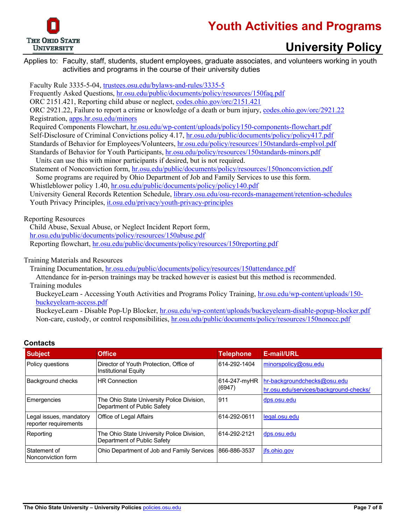

### **Youth Activities and Programs**

### **University Policy**

Applies to: Faculty, staff, students, student employees, graduate associates, and volunteers working in youth activities and programs in the course of their university duties

Faculty Rule 3335-5-04, [trustees.osu.edu/bylaws-and-rules/3335-5](https://trustees.osu.edu/bylaws-and-rules/3335-5)

Frequently Asked Questions, [hr.osu.edu/public/documents/policy/resources/150faq.pdf](http://hr.osu.edu/public/documents/policy/resources/150faq.pdf)

ORC 2151.421, Reporting child abuse or neglect[, codes.ohio.gov/orc/2151.421](http://codes.ohio.gov/orc/2151.421)

ORC 2921.22, Failure to report a crime or knowledge of a death or burn injury, [codes.ohio.gov/orc/2921.22](http://codes.ohio.gov/orc/2921.22) Registration, [apps.hr.osu.edu/minors](https://apps.hr.osu.edu/minors)

Required Components Flowchart, [hr.osu.edu/wp-content/uploads/policy150-components-flowchart.pdf](https://hr.osu.edu/wp-content/uploads/policy150-components-flowchart.pdf) Self-Disclosure of Criminal Convictions policy 4.17, [hr.osu.edu/public/documents/policy/policy417.pdf](http://hr.osu.edu/public/documents/policy/policy417.pdf) Standards of Behavior for Employees/Volunteers, [hr.osu.edu/policy/resources/150standards-emplvol.pdf](http://hr.osu.edu/policy/resources/150standards-emplvol.pdf) Standards of Behavior for Youth Participants, [hr.osu.edu/policy/resources/150standards-minors.pdf](http://hr.osu.edu/policy/resources/150standards-minors.pdf)

Units can use this with minor participants if desired, but is not required.

Statement of Nonconviction form[, hr.osu.edu/public/documents/policy/resources/150nonconviction.pdf](http://hr.osu.edu/public/documents/policy/resources/150nonconviction.pdf) Some programs are required by Ohio Department of Job and Family Services to use this form.

Whistleblower policy 1.40, [hr.osu.edu/public/documents/policy/policy140.pdf](http://hr.osu.edu/public/documents/policy/policy140.pdf)

University General Records Retention Schedule, [library.osu.edu/osu-records-management/retention-schedules](https://library.osu.edu/osu-records-management/retention-schedules) Youth Privacy Principles, [it.osu.edu/privacy/youth-privacy-principles](https://it.osu.edu/privacy/youth-privacy-principles)

Reporting Resources

Child Abuse, Sexual Abuse, or Neglect Incident Report form, [hr.osu.edu/public/documents/policy/resources/150abuse.pdf](http://hr.osu.edu/public/documents/policy/resources/150abuse.pdf)  Reporting flowchart, [hr.osu.edu/public/documents/policy/resources/150reporting.pdf](http://hr.osu.edu/public/documents/policy/resources/150reporting.pdf)

Training Materials and Resources

Training Documentation, [hr.osu.edu/public/documents/policy/resources/150attendance.pdf](http://hr.osu.edu/public/documents/policy/resources/150attendance.pdf)

Attendance for in-person trainings may be tracked however is easiest but this method is recommended. Training modules

BuckeyeLearn - Accessing Youth Activities and Programs Policy Training, [hr.osu.edu/wp-content/uploads/150](https://hr.osu.edu/wp-content/uploads/150-buckeyelearn-access.pdf) [buckeyelearn-access.pdf](https://hr.osu.edu/wp-content/uploads/150-buckeyelearn-access.pdf)

BuckeyeLearn - Disable Pop-Up Blocker, [hr.osu.edu/wp-content/uploads/buckeyelearn-disable-popup-blocker.pdf](https://hr.osu.edu/wp-content/uploads/buckeyelearn-disable-popup-blocker.pdf) Non-care, custody, or control responsibilities, [hr.osu.edu/public/documents/policy/resources/150nonccc.pdf](http://hr.osu.edu/public/documents/policy/resources/150nonccc.pdf)

| <b>Subject</b>                                   | <b>Office</b>                                                             | <b>Telephone</b>       | <b>E-mail/URL</b>                                                     |
|--------------------------------------------------|---------------------------------------------------------------------------|------------------------|-----------------------------------------------------------------------|
| Policy questions                                 | Director of Youth Protection, Office of<br>Institutional Equity           | 614-292-1404           | minorspolicy@osu.edu                                                  |
| Background checks                                | <b>HR Connection</b>                                                      | 614-247-myHR<br>(6947) | hr-backgroundchecks@osu.edu<br>hr.osu.edu/services/background-checks/ |
|                                                  |                                                                           |                        |                                                                       |
| Emergencies                                      | The Ohio State University Police Division,<br>Department of Public Safety | 911                    | dps.osu.edu                                                           |
| Legal issues, mandatory<br>reporter requirements | Office of Legal Affairs                                                   | 614-292-0611           | legal.osu.edu                                                         |
| Reporting                                        | The Ohio State University Police Division,<br>Department of Public Safety | 614-292-2121           | dps.osu.edu                                                           |
| Statement of<br>Nonconviction form               | Ohio Department of Job and Family Services                                | 866-886-3537           | ifs.ohio.gov                                                          |

#### **Contacts**